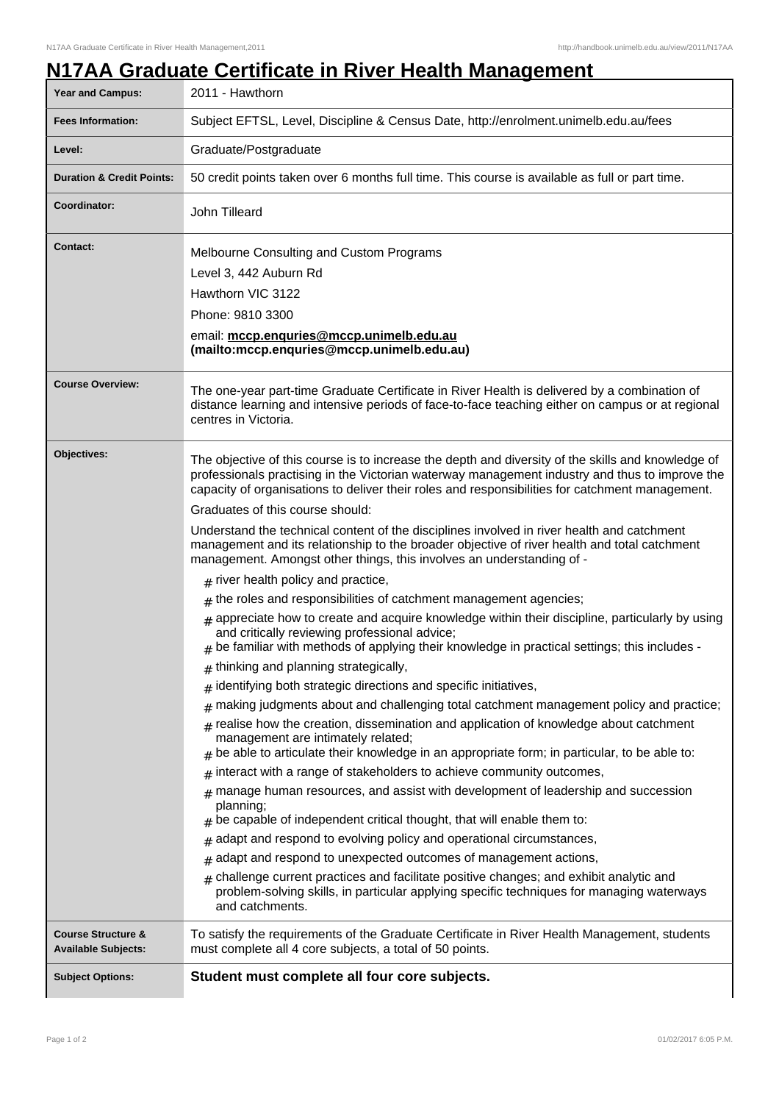## **Year and Campus:** 2011 - Hawthorn **Fees Information:** [Subject EFTSL, Level, Discipline & Census Date, http://enrolment.unimelb.edu.au/fees](http://enrolment.unimelb.edu.au/fees) Level: **Graduate/Postgraduate Duration & Credit Points:** 50 credit points taken over 6 months full time. This course is available as full or part time. **Coordinator:** John Tilleard **Contact:** Melbourne Consulting and Custom Programs Level 3, 442 Auburn Rd Hawthorn VIC 3122 Phone: 9810 3300 email: **mccp.enquries@mccp.unimelb.edu.au (mailto:mccp.enquries@mccp.unimelb.edu.au) Course Overview:** The one-year part-time Graduate Certificate in River Health is delivered by a combination of distance learning and intensive periods of face-to-face teaching either on campus or at regional centres in Victoria. **Objectives:** The objective of this course is to increase the depth and diversity of the skills and knowledge of professionals practising in the Victorian waterway management industry and thus to improve the capacity of organisations to deliver their roles and responsibilities for catchment management. Graduates of this course should: Understand the technical content of the disciplines involved in river health and catchment management and its relationship to the broader objective of river health and total catchment management. Amongst other things, this involves an understanding of -  ${}_{\#}$  river health policy and practice,  ${}_{\#}$  the roles and responsibilities of catchment management agencies;  ${}_{\#}$  appreciate how to create and acquire knowledge within their discipline, particularly by using and critically reviewing professional advice; # be familiar with methods of applying their knowledge in practical settings; this includes -  $_{\#}$  thinking and planning strategically,  $_{\#}$  identifying both strategic directions and specific initiatives,  $#$  making judgments about and challenging total catchment management policy and practice;  ${}_\#$  realise how the creation, dissemination and application of knowledge about catchment management are intimately related;  $_{\rm \#}$  be able to articulate their knowledge in an appropriate form; in particular, to be able to: # interact with a range of stakeholders to achieve community outcomes,  $#$  manage human resources, and assist with development of leadership and succession planning; # be capable of independent critical thought, that will enable them to:  $_{\rm \#}$  adapt and respond to evolving policy and operational circumstances,  $_{\rm \#}$  adapt and respond to unexpected outcomes of management actions,  $*$  challenge current practices and facilitate positive changes; and exhibit analytic and problem-solving skills, in particular applying specific techniques for managing waterways and catchments. **Course Structure & Available Subjects:** To satisfy the requirements of the Graduate Certificate in River Health Management, students must complete all 4 core subjects, a total of 50 points. **Subject Options: Student must complete all four core subjects.**

## **N17AA Graduate Certificate in River Health Management**